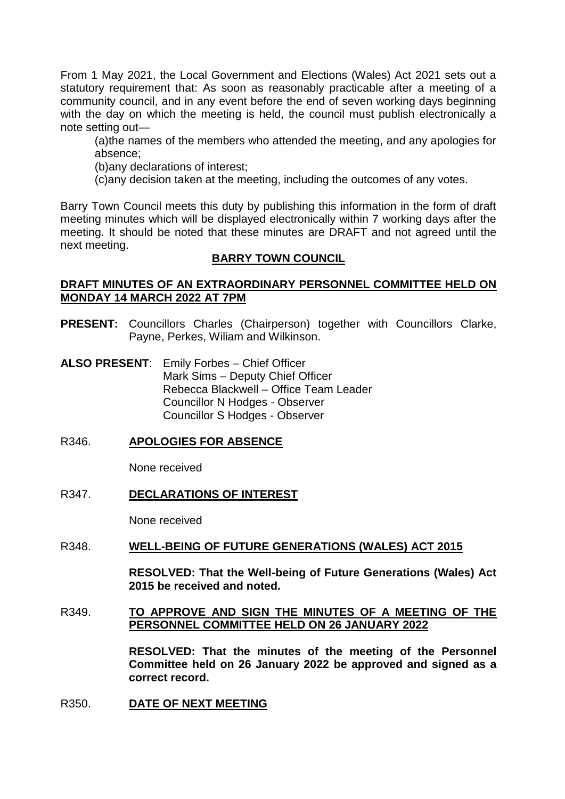From 1 May 2021, the Local Government and Elections (Wales) Act 2021 sets out a statutory requirement that: As soon as reasonably practicable after a meeting of a community council, and in any event before the end of seven working days beginning with the day on which the meeting is held, the council must publish electronically a note setting out—

(a)the names of the members who attended the meeting, and any apologies for absence;

(b)any declarations of interest;

(c)any decision taken at the meeting, including the outcomes of any votes.

Barry Town Council meets this duty by publishing this information in the form of draft meeting minutes which will be displayed electronically within 7 working days after the meeting. It should be noted that these minutes are DRAFT and not agreed until the next meeting.

### **BARRY TOWN COUNCIL**

### **DRAFT MINUTES OF AN EXTRAORDINARY PERSONNEL COMMITTEE HELD ON MONDAY 14 MARCH 2022 AT 7PM**

- **PRESENT:** Councillors Charles (Chairperson) together with Councillors Clarke, Payne, Perkes, Wiliam and Wilkinson.
- **ALSO PRESENT**: Emily Forbes Chief Officer Mark Sims – Deputy Chief Officer Rebecca Blackwell – Office Team Leader Councillor N Hodges - Observer Councillor S Hodges - Observer

# R346. **APOLOGIES FOR ABSENCE**

None received

### R347. **DECLARATIONS OF INTEREST**

None received

### R348. **WELL-BEING OF FUTURE GENERATIONS (WALES) ACT 2015**

**RESOLVED: That the Well-being of Future Generations (Wales) Act 2015 be received and noted.**

## R349. **TO APPROVE AND SIGN THE MINUTES OF A MEETING OF THE PERSONNEL COMMITTEE HELD ON 26 JANUARY 2022**

**RESOLVED: That the minutes of the meeting of the Personnel Committee held on 26 January 2022 be approved and signed as a correct record.** 

### R350. **DATE OF NEXT MEETING**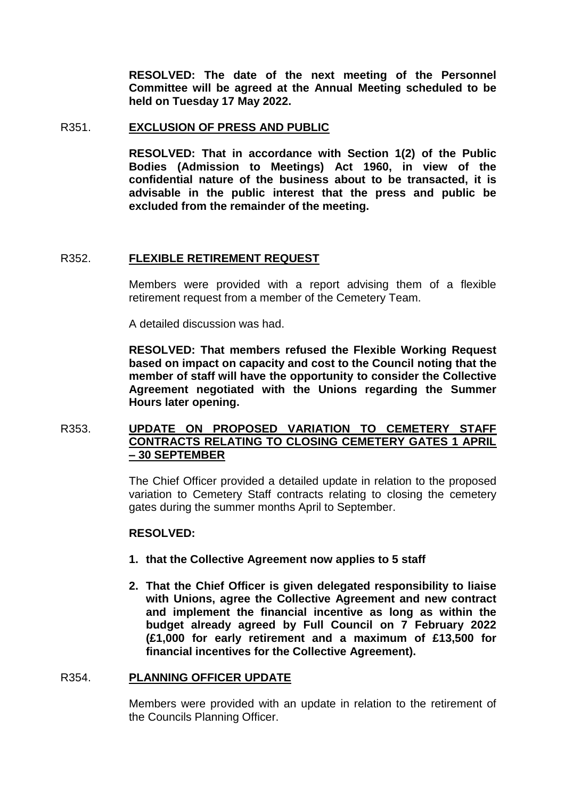**RESOLVED: The date of the next meeting of the Personnel Committee will be agreed at the Annual Meeting scheduled to be held on Tuesday 17 May 2022.** 

#### R351. **EXCLUSION OF PRESS AND PUBLIC**

**RESOLVED: That in accordance with Section 1(2) of the Public Bodies (Admission to Meetings) Act 1960, in view of the confidential nature of the business about to be transacted, it is advisable in the public interest that the press and public be excluded from the remainder of the meeting.** 

### R352. **FLEXIBLE RETIREMENT REQUEST**

Members were provided with a report advising them of a flexible retirement request from a member of the Cemetery Team.

A detailed discussion was had.

**RESOLVED: That members refused the Flexible Working Request based on impact on capacity and cost to the Council noting that the member of staff will have the opportunity to consider the Collective Agreement negotiated with the Unions regarding the Summer Hours later opening.** 

## R353. **UPDATE ON PROPOSED VARIATION TO CEMETERY STAFF CONTRACTS RELATING TO CLOSING CEMETERY GATES 1 APRIL – 30 SEPTEMBER**

The Chief Officer provided a detailed update in relation to the proposed variation to Cemetery Staff contracts relating to closing the cemetery gates during the summer months April to September.

### **RESOLVED:**

- **1. that the Collective Agreement now applies to 5 staff**
- **2. That the Chief Officer is given delegated responsibility to liaise with Unions, agree the Collective Agreement and new contract and implement the financial incentive as long as within the budget already agreed by Full Council on 7 February 2022 (£1,000 for early retirement and a maximum of £13,500 for financial incentives for the Collective Agreement).**

### R354. **PLANNING OFFICER UPDATE**

Members were provided with an update in relation to the retirement of the Councils Planning Officer.